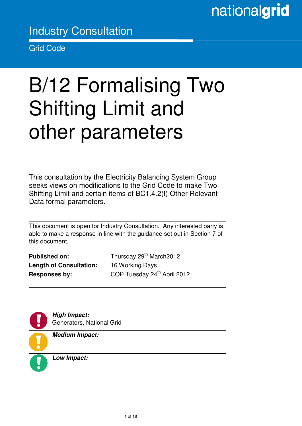## Industry Consultation

Grid Code

Ξ

# B/12 Formalising Two Shifting Limit and other parameters

This consultation by the Electricity Balancing System Group seeks views on modifications to the Grid Code to make Two Shifting Limit and certain items of BC1.4.2(f) Other Relevant Data formal parameters.

This document is open for Industry Consultation. Any interested party is able to make a response in line with the guidance set out in Section 7 of this document.

**Length of Consultation:** 16 Working Days

**Published on:** Thursday 29<sup>th</sup> March2012 **Responses by:** COP Tuesday 24<sup>th</sup> April 2012



**High Impact:**  Generators, National Grid



**Medium Impact:** 

**Low Impact:**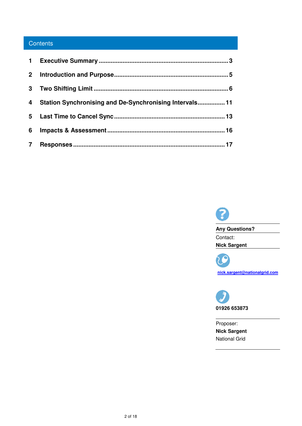### **Contents**

| $\mathbf{2}$ |                                                         |
|--------------|---------------------------------------------------------|
| 3            |                                                         |
| 4            | Station Synchronising and De-Synchronising Intervals 11 |
|              |                                                         |
| 6            |                                                         |
|              |                                                         |



**Any Questions?**  Contact: **Nick Sargent** 

Q 7 ( **nick.sargent@nationalgrid.com**



Proposer: **Nick Sargent**  National Grid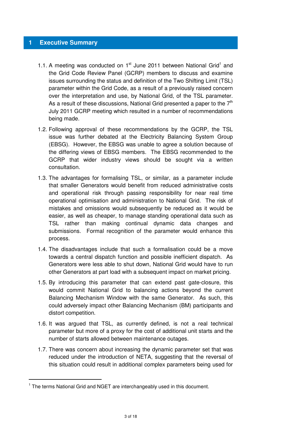#### **1 Executive Summary**

- 1.1. A meeting was conducted on  $1<sup>st</sup>$  June 2011 between National Grid<sup>1</sup> and the Grid Code Review Panel (GCRP) members to discuss and examine issues surrounding the status and definition of the Two Shifting Limit (TSL) parameter within the Grid Code, as a result of a previously raised concern over the interpretation and use, by National Grid, of the TSL parameter. As a result of these discussions, National Grid presented a paper to the  $7<sup>th</sup>$ July 2011 GCRP meeting which resulted in a number of recommendations being made.
- 1.2. Following approval of these recommendations by the GCRP, the TSL issue was further debated at the Electricity Balancing System Group (EBSG). However, the EBSG was unable to agree a solution because of the differing views of EBSG members. The EBSG recommended to the GCRP that wider industry views should be sought via a written consultation.
- 1.3. The advantages for formalising TSL, or similar, as a parameter include that smaller Generators would benefit from reduced administrative costs and operational risk through passing responsibility for near real time operational optimisation and administration to National Grid. The risk of mistakes and omissions would subsequently be reduced as it would be easier, as well as cheaper, to manage standing operational data such as TSL rather than making continual dynamic data changes and submissions. Formal recognition of the parameter would enhance this process.
- 1.4. The disadvantages include that such a formalisation could be a move towards a central dispatch function and possible inefficient dispatch. As Generators were less able to shut down, National Grid would have to run other Generators at part load with a subsequent impact on market pricing.
- 1.5. By introducing this parameter that can extend past gate-closure, this would commit National Grid to balancing actions beyond the current Balancing Mechanism Window with the same Generator. As such, this could adversely impact other Balancing Mechanism (BM) participants and distort competition.
- 1.6. It was argued that TSL, as currently defined, is not a real technical parameter but more of a proxy for the cost of additional unit starts and the number of starts allowed between maintenance outages.
- 1.7. There was concern about increasing the dynamic parameter set that was reduced under the introduction of NETA, suggesting that the reversal of this situation could result in additional complex parameters being used for

<sup>&</sup>lt;sup>1</sup> The terms National Grid and NGET are interchangeably used in this document.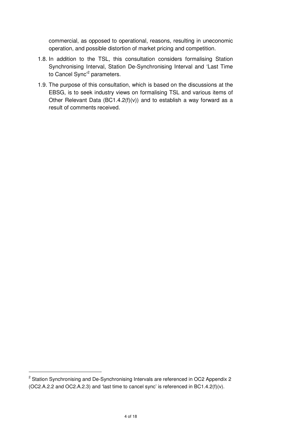commercial, as opposed to operational, reasons, resulting in uneconomic operation, and possible distortion of market pricing and competition.

- 1.8. In addition to the TSL, this consultation considers formalising Station Synchronising Interval, Station De-Synchronising Interval and 'Last Time to Cancel Sync'<sup>2</sup> parameters.
- 1.9. The purpose of this consultation, which is based on the discussions at the EBSG, is to seek industry views on formalising TSL and various items of Other Relevant Data (BC1.4.2(f)(v)) and to establish a way forward as a result of comments received.

<sup>&</sup>lt;sup>2</sup> Station Synchronising and De-Synchronising Intervals are referenced in OC2 Appendix 2 (OC2.A.2.2 and OC2.A.2.3) and 'last time to cancel sync' is referenced in BC1.4.2(f)(v).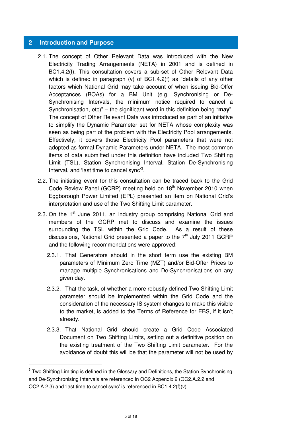#### **2 Introduction and Purpose**

- 2.1. The concept of Other Relevant Data was introduced with the New Electricity Trading Arrangements (NETA) in 2001 and is defined in BC1.4.2(f). This consultation covers a sub-set of Other Relevant Data which is defined in paragraph (v) of BC1.4.2(f) as "details of any other factors which National Grid may take account of when issuing Bid-Offer Acceptances (BOAs) for a BM Unit (e.g. Synchronising or De-Synchronising Intervals, the minimum notice required to cancel a Synchronisation, etc)" – the significant word in this definition being "**may**". The concept of Other Relevant Data was introduced as part of an initiative to simplify the Dynamic Parameter set for NETA whose complexity was seen as being part of the problem with the Electricity Pool arrangements. Effectively, it covers those Electricity Pool parameters that were not adopted as formal Dynamic Parameters under NETA. The most common items of data submitted under this definition have included Two Shifting Limit (TSL), Station Synchronising Interval, Station De-Synchronising Interval, and 'last time to cancel sync'<sup>3</sup>.
- 2.2. The initiating event for this consultation can be traced back to the Grid Code Review Panel (GCRP) meeting held on 18<sup>th</sup> November 2010 when Eggborough Power Limited (EPL) presented an item on National Grid's interpretation and use of the Two Shifting Limit parameter.
- 2.3. On the  $1<sup>st</sup>$  June 2011, an industry group comprising National Grid and members of the GCRP met to discuss and examine the issues surrounding the TSL within the Grid Code. As a result of these discussions, National Grid presented a paper to the  $7<sup>th</sup>$  July 2011 GCRP and the following recommendations were approved:
	- 2.3.1. That Generators should in the short term use the existing BM parameters of Minimum Zero Time (MZT) and/or Bid-Offer Prices to manage multiple Synchronisations and De-Synchronisations on any given day.
	- 2.3.2. That the task, of whether a more robustly defined Two Shifting Limit parameter should be implemented within the Grid Code and the consideration of the necessary IS system changes to make this visible to the market, is added to the Terms of Reference for EBS, if it isn't already.
	- 2.3.3. That National Grid should create a Grid Code Associated Document on Two Shifting Limits, setting out a definitive position on the existing treatment of the Two Shifting Limit parameter. For the avoidance of doubt this will be that the parameter will not be used by

 $3$  Two Shifting Limiting is defined in the Glossary and Definitions, the Station Synchronising and De-Synchronising Intervals are referenced in OC2 Appendix 2 (OC2.A.2.2 and OC2.A.2.3) and 'last time to cancel sync' is referenced in BC1.4.2(f)(v).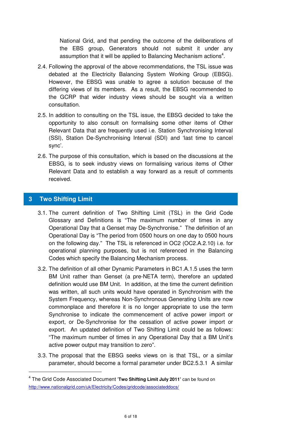National Grid, and that pending the outcome of the deliberations of the EBS group, Generators should not submit it under any assumption that it will be applied to Balancing Mechanism actions<sup>4</sup>.

- 2.4. Following the approval of the above recommendations, the TSL issue was debated at the Electricity Balancing System Working Group (EBSG). However, the EBSG was unable to agree a solution because of the differing views of its members. As a result, the EBSG recommended to the GCRP that wider industry views should be sought via a written consultation.
- 2.5. In addition to consulting on the TSL issue, the EBSG decided to take the opportunity to also consult on formalising some other items of Other Relevant Data that are frequently used i.e. Station Synchronising Interval (SSI), Station De-Synchronising Interval (SDI) and 'last time to cancel sync'.
- 2.6. The purpose of this consultation, which is based on the discussions at the EBSG, is to seek industry views on formalising various items of Other Relevant Data and to establish a way forward as a result of comments received.

#### **3 Two Shifting Limit**

- 3.1. The current definition of Two Shifting Limit (TSL) in the Grid Code Glossary and Definitions is "The maximum number of times in any Operational Day that a Genset may De-Synchronise." The definition of an Operational Day is "The period from 0500 hours on one day to 0500 hours on the following day." The TSL is referenced in OC2 (OC2.A.2.10) i.e. for operational planning purposes, but is not referenced in the Balancing Codes which specify the Balancing Mechanism process.
- 3.2. The definition of all other Dynamic Parameters in BC1.A.1.5 uses the term BM Unit rather than Genset (a pre-NETA term), therefore an updated definition would use BM Unit. In addition, at the time the current definition was written, all such units would have operated in Synchronism with the System Frequency, whereas Non-Synchronous Generating Units are now commonplace and therefore it is no longer appropriate to use the term Synchronise to indicate the commencement of active power import or export, or De-Synchronise for the cessation of active power import or export. An updated definition of Two Shifting Limit could be as follows: "The maximum number of times in any Operational Day that a BM Unit's active power output may transition to zero".
- 3.3. The proposal that the EBSG seeks views on is that TSL, or a similar parameter, should become a formal parameter under BC2.5.3.1 A similar

<sup>4</sup> The Grid Code Associated Document '**Two Shifting Limit July 2011'** can be found on http://www.nationalgrid.com/uk/Electricity/Codes/gridcode/associateddocs/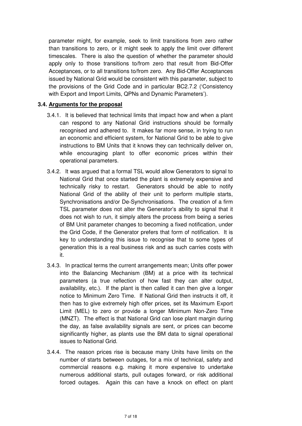parameter might, for example, seek to limit transitions from zero rather than transitions to zero, or it might seek to apply the limit over different timescales. There is also the question of whether the parameter should apply only to those transitions to/from zero that result from Bid-Offer Acceptances, or to all transitions to/from zero. Any Bid-Offer Acceptances issued by National Grid would be consistent with this parameter, subject to the provisions of the Grid Code and in particular BC2.7.2 ('Consistency with Export and Import Limits, QPNs and Dynamic Parameters').

#### **3.4. Arguments for the proposal**

- 3.4.1. It is believed that technical limits that impact how and when a plant can respond to any National Grid instructions should be formally recognised and adhered to. It makes far more sense, in trying to run an economic and efficient system, for National Grid to be able to give instructions to BM Units that it knows they can technically deliver on, while encouraging plant to offer economic prices within their operational parameters.
- 3.4.2. It was argued that a formal TSL would allow Generators to signal to National Grid that once started the plant is extremely expensive and technically risky to restart. Generators should be able to notify National Grid of the ability of their unit to perform multiple starts, Synchronisations and/or De-Synchronisations. The creation of a firm TSL parameter does not alter the Generator's ability to signal that it does not wish to run, it simply alters the process from being a series of BM Unit parameter changes to becoming a fixed notification, under the Grid Code, if the Generator prefers that form of notification. It is key to understanding this issue to recognise that to some types of generation this is a real business risk and as such carries costs with it.
- 3.4.3. In practical terms the current arrangements mean; Units offer power into the Balancing Mechanism (BM) at a price with its technical parameters (a true reflection of how fast they can alter output, availability, etc.). If the plant is then called it can then give a longer notice to Minimum Zero Time. If National Grid then instructs it off, it then has to give extremely high offer prices, set its Maximum Export Limit (MEL) to zero or provide a longer Minimum Non-Zero Time (MNZT). The effect is that National Grid can lose plant margin during the day, as false availability signals are sent, or prices can become significantly higher, as plants use the BM data to signal operational issues to National Grid.
- 3.4.4. The reason prices rise is because many Units have limits on the number of starts between outages, for a mix of technical, safety and commercial reasons e.g. making it more expensive to undertake numerous additional starts, pull outages forward, or risk additional forced outages. Again this can have a knock on effect on plant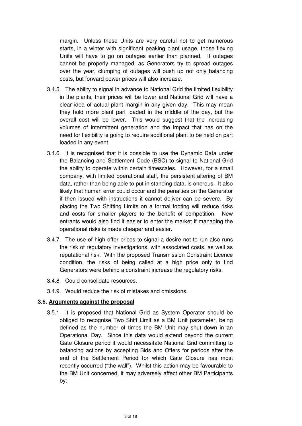margin. Unless these Units are very careful not to get numerous starts, in a winter with significant peaking plant usage, those flexing Units will have to go on outages earlier than planned. If outages cannot be properly managed, as Generators try to spread outages over the year, clumping of outages will push up not only balancing costs, but forward power prices will also increase.

- 3.4.5. The ability to signal in advance to National Grid the limited flexibility in the plants, their prices will be lower and National Grid will have a clear idea of actual plant margin in any given day. This may mean they hold more plant part loaded in the middle of the day, but the overall cost will be lower. This would suggest that the increasing volumes of intermittent generation and the impact that has on the need for flexibility is going to require additional plant to be held on part loaded in any event.
- 3.4.6. It is recognised that it is possible to use the Dynamic Data under the Balancing and Settlement Code (BSC) to signal to National Grid the ability to operate within certain timescales. However, for a small company, with limited operational staff, the persistent altering of BM data, rather than being able to put in standing data, is onerous. It also likely that human error could occur and the penalties on the Generator if then issued with instructions it cannot deliver can be severe. By placing the Two Shifting Limits on a formal footing will reduce risks and costs for smaller players to the benefit of competition. New entrants would also find it easier to enter the market if managing the operational risks is made cheaper and easier.
- 3.4.7. The use of high offer prices to signal a desire not to run also runs the risk of regulatory investigations, with associated costs, as well as reputational risk. With the proposed Transmission Constraint Licence condition, the risks of being called at a high price only to find Generators were behind a constraint increase the regulatory risks.
- 3.4.8. Could consolidate resources.
- 3.4.9. Would reduce the risk of mistakes and omissions.

#### **3.5. Arguments against the proposal**

3.5.1. It is proposed that National Grid as System Operator should be obliged to recognise Two Shift Limit as a BM Unit parameter, being defined as the number of times the BM Unit may shut down in an Operational Day. Since this data would extend beyond the current Gate Closure period it would necessitate National Grid committing to balancing actions by accepting Bids and Offers for periods after the end of the Settlement Period for which Gate Closure has most recently occurred ("the wall"). Whilst this action may be favourable to the BM Unit concerned, it may adversely affect other BM Participants by: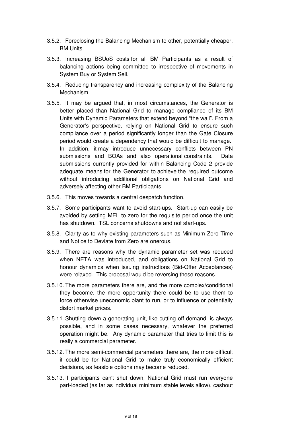- 3.5.2. Foreclosing the Balancing Mechanism to other, potentially cheaper, BM Units.
- 3.5.3. Increasing BSUoS costs for all BM Participants as a result of balancing actions being committed to irrespective of movements in System Buy or System Sell.
- 3.5.4. Reducing transparency and increasing complexity of the Balancing Mechanism.
- 3.5.5. It may be argued that, in most circumstances, the Generator is better placed than National Grid to manage compliance of its BM Units with Dynamic Parameters that extend beyond "the wall". From a Generator's perspective, relying on National Grid to ensure such compliance over a period significantly longer than the Gate Closure period would create a dependency that would be difficult to manage. In addition, it may introduce unnecessary conflicts between PN submissions and BOAs and also operational constraints. Data submissions currently provided for within Balancing Code 2 provide adequate means for the Generator to achieve the required outcome without introducing additional obligations on National Grid and adversely affecting other BM Participants.
- 3.5.6. This moves towards a central despatch function.
- 3.5.7. Some participants want to avoid start-ups. Start-up can easily be avoided by setting MEL to zero for the requisite period once the unit has shutdown. TSL concerns shutdowns and not start-ups.
- 3.5.8. Clarity as to why existing parameters such as Minimum Zero Time and Notice to Deviate from Zero are onerous.
- 3.5.9. There are reasons why the dynamic parameter set was reduced when NETA was introduced, and obligations on National Grid to honour dynamics when issuing instructions (Bid-Offer Acceptances) were relaxed. This proposal would be reversing these reasons.
- 3.5.10. The more parameters there are, and the more complex/conditional they become, the more opportunity there could be to use them to force otherwise uneconomic plant to run, or to influence or potentially distort market prices.
- 3.5.11. Shutting down a generating unit, like cutting off demand, is always possible, and in some cases necessary, whatever the preferred operation might be. Any dynamic parameter that tries to limit this is really a commercial parameter.
- 3.5.12. The more semi-commercial parameters there are, the more difficult it could be for National Grid to make truly economically efficient decisions, as feasible options may become reduced.
- 3.5.13. If participants can't shut down, National Grid must run everyone part-loaded (as far as individual minimum stable levels allow), cashout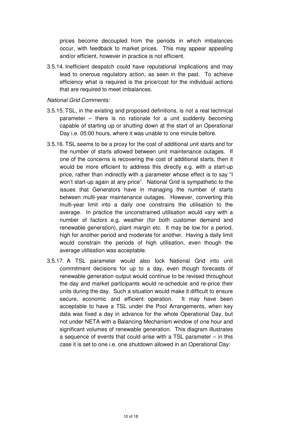prices become decoupled from the periods in which imbalances occur, with feedback to market prices. This may appear appealing and/or efficient, however in practice is not efficient.

3.5.14. Inefficient despatch could have reputational implications and may lead to onerous regulatory action, as seen in the past. To achieve efficiency what is required is the price/cost for the individual actions that are required to meet imbalances.

#### National Grid Comments:

- 3.5.15. TSL, in the existing and proposed definitions, is not a real technical parameter – there is no rationale for a unit suddenly becoming capable of starting up or shutting down at the start of an Operational Day i.e. 05:00 hours, where it was unable to one minute before.
- 3.5.16. TSL seems to be a proxy for the cost of additional unit starts and for the number of starts allowed between unit maintenance outages. If one of the concerns is recovering the cost of additional starts, then it would be more efficient to address this directly e.g. with a start-up price, rather than indirectly with a parameter whose effect is to say "I won't start-up again at any price". National Grid is sympathetic to the issues that Generators have in managing the number of starts between multi-year maintenance outages. However, converting this multi-year limit into a daily one constrains the utilisation to the average. In practice the unconstrained utilisation would vary with a number of factors e.g. weather (for both customer demand and renewable generation), plant margin etc. It may be low for a period, high for another period and moderate for another. Having a daily limit would constrain the periods of high utilisation, even though the average utilisation was acceptable.
- 3.5.17. A TSL parameter would also lock National Grid into unit commitment decisions for up to a day, even though forecasts of renewable generation output would continue to be revised throughout the day and market participants would re-schedule and re-price their units during the day. Such a situation would make it difficult to ensure secure, economic and efficient operation. It may have been acceptable to have a TSL under the Pool Arrangements, when key data was fixed a day in advance for the whole Operational Day, but not under NETA with a Balancing Mechanism window of one hour and significant volumes of renewable generation. This diagram illustrates a sequence of events that could arise with a TSL parameter – in this case it is set to one i.e. one shutdown allowed in an Operational Day: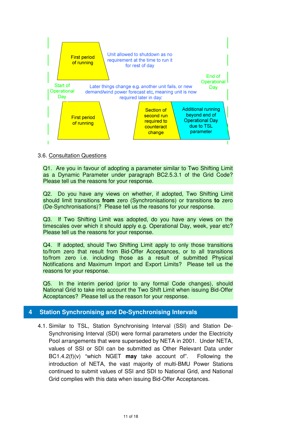

3.6. Consultation Questions

Q1. Are you in favour of adopting a parameter similar to Two Shifting Limit as a Dynamic Parameter under paragraph BC2.5.3.1 of the Grid Code? Please tell us the reasons for your response.

Q2. Do you have any views on whether, if adopted, Two Shifting Limit should limit transitions **from** zero (Synchronisations) or transitions **to** zero (De-Synchronisations)? Please tell us the reasons for your response.

Q3. If Two Shifting Limit was adopted, do you have any views on the timescales over which it should apply e.g. Operational Day, week, year etc? Please tell us the reasons for your response.

Q4. If adopted, should Two Shifting Limit apply to only those transitions to/from zero that result from Bid-Offer Acceptances, or to all transitions to/from zero i.e. including those as a result of submitted Physical Notifications and Maximum Import and Export Limits? Please tell us the reasons for your response.

Q5. In the interim period (prior to any formal Code changes), should National Grid to take into account the Two Shift Limit when issuing Bid-Offer Acceptances? Please tell us the reason for your response.

#### **4 Station Synchronising and De-Synchronising Intervals**

4.1. Similar to TSL, Station Synchronising Interval (SSI) and Station De-Synchronising Interval (SDI) were formal parameters under the Electricity Pool arrangements that were superseded by NETA in 2001. Under NETA, values of SSI or SDI can be submitted as Other Relevant Data under BC1.4.2(f)(v) "which NGET **may** take account of". Following the introduction of NETA, the vast majority of multi-BMU Power Stations continued to submit values of SSI and SDI to National Grid, and National Grid complies with this data when issuing Bid-Offer Acceptances.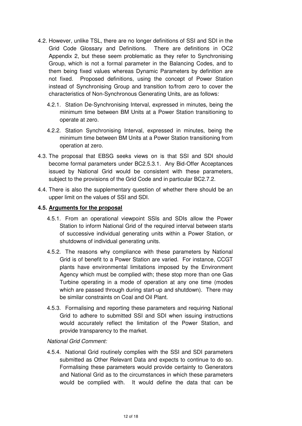- 4.2. However, unlike TSL, there are no longer definitions of SSI and SDI in the Grid Code Glossary and Definitions. There are definitions in OC2 Appendix 2, but these seem problematic as they refer to Synchronising Group, which is not a formal parameter in the Balancing Codes, and to them being fixed values whereas Dynamic Parameters by definition are not fixed. Proposed definitions, using the concept of Power Station instead of Synchronising Group and transition to/from zero to cover the characteristics of Non-Synchronous Generating Units, are as follows:
	- 4.2.1. Station De-Synchronising Interval, expressed in minutes, being the minimum time between BM Units at a Power Station transitioning to operate at zero.
	- 4.2.2. Station Synchronising Interval, expressed in minutes, being the minimum time between BM Units at a Power Station transitioning from operation at zero.
- 4.3. The proposal that EBSG seeks views on is that SSI and SDI should become formal parameters under BC2.5.3.1. Any Bid-Offer Acceptances issued by National Grid would be consistent with these parameters, subject to the provisions of the Grid Code and in particular BC2.7.2.
- 4.4. There is also the supplementary question of whether there should be an upper limit on the values of SSI and SDI.

#### **4.5. Arguments for the proposal**

- 4.5.1. From an operational viewpoint SSIs and SDIs allow the Power Station to inform National Grid of the required interval between starts of successive individual generating units within a Power Station, or shutdowns of individual generating units.
- 4.5.2. The reasons why compliance with these parameters by National Grid is of benefit to a Power Station are varied. For instance, CCGT plants have environmental limitations imposed by the Environment Agency which must be complied with; these stop more than one Gas Turbine operating in a mode of operation at any one time (modes which are passed through during start-up and shutdown). There may be similar constraints on Coal and Oil Plant.
- 4.5.3. Formalising and reporting these parameters and requiring National Grid to adhere to submitted SSI and SDI when issuing instructions would accurately reflect the limitation of the Power Station, and provide transparency to the market.

#### National Grid Comment:

4.5.4. National Grid routinely complies with the SSI and SDI parameters submitted as Other Relevant Data and expects to continue to do so. Formalising these parameters would provide certainty to Generators and National Grid as to the circumstances in which these parameters would be complied with. It would define the data that can be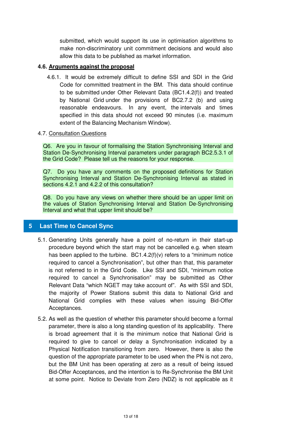submitted, which would support its use in optimisation algorithms to make non-discriminatory unit commitment decisions and would also allow this data to be published as market information.

#### **4.6. Arguments against the proposal**

4.6.1. It would be extremely difficult to define SSI and SDI in the Grid Code for committed treatment in the BM. This data should continue to be submitted under Other Relevant Data (BC1.4.2(f)) and treated by National Grid under the provisions of BC2.7.2 (b) and using reasonable endeavours. In any event, the intervals and times specified in this data should not exceed 90 minutes (i.e. maximum extent of the Balancing Mechanism Window).

#### 4.7. Consultation Questions

Q6. Are you in favour of formalising the Station Synchronising Interval and Station De-Synchronising Interval parameters under paragraph BC2.5.3.1 of the Grid Code? Please tell us the reasons for your response.

Q7. Do you have any comments on the proposed definitions for Station Synchronising Interval and Station De-Synchronising Interval as stated in sections 4.2.1 and 4.2.2 of this consultation?

Q8. Do you have any views on whether there should be an upper limit on the values of Station Synchronising Interval and Station De-Synchronising Interval and what that upper limit should be?

#### **5 Last Time to Cancel Sync**

- 5.1. Generating Units generally have a point of no-return in their start-up procedure beyond which the start may not be cancelled e.g. when steam has been applied to the turbine. BC1.4.2(f)(v) refers to a "minimum notice required to cancel a Synchronisation", but other than that, this parameter is not referred to in the Grid Code. Like SSI and SDI, "minimum notice required to cancel a Synchronisation" may be submitted as Other Relevant Data "which NGET may take account of". As with SSI and SDI, the majority of Power Stations submit this data to National Grid and National Grid complies with these values when issuing Bid-Offer Acceptances.
- 5.2. As well as the question of whether this parameter should become a formal parameter, there is also a long standing question of its applicability. There is broad agreement that it is the minimum notice that National Grid is required to give to cancel or delay a Synchronisation indicated by a Physical Notification transitioning from zero. However, there is also the question of the appropriate parameter to be used when the PN is not zero, but the BM Unit has been operating at zero as a result of being issued Bid-Offer Acceptances, and the intention is to Re-Synchronise the BM Unit at some point. Notice to Deviate from Zero (NDZ) is not applicable as it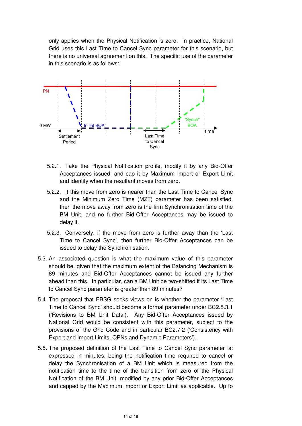only applies when the Physical Notification is zero. In practice, National Grid uses this Last Time to Cancel Sync parameter for this scenario, but there is no universal agreement on this. The specific use of the parameter in this scenario is as follows:



- 5.2.1. Take the Physical Notification profile, modify it by any Bid-Offer Acceptances issued, and cap it by Maximum Import or Export Limit and identify when the resultant moves from zero.
- 5.2.2. If this move from zero is nearer than the Last Time to Cancel Sync and the Minimum Zero Time (MZT) parameter has been satisfied, then the move away from zero is the firm Synchronisation time of the BM Unit, and no further Bid-Offer Acceptances may be issued to delay it.
- 5.2.3. Conversely, if the move from zero is further away than the 'Last Time to Cancel Sync', then further Bid-Offer Acceptances can be issued to delay the Synchronisation.
- 5.3. An associated question is what the maximum value of this parameter should be, given that the maximum extent of the Balancing Mechanism is 89 minutes and Bid-Offer Acceptances cannot be issued any further ahead than this. In particular, can a BM Unit be two-shifted if its Last Time to Cancel Sync parameter is greater than 89 minutes?
- 5.4. The proposal that EBSG seeks views on is whether the parameter 'Last Time to Cancel Sync' should become a formal parameter under BC2.5.3.1 ('Revisions to BM Unit Data'). Any Bid-Offer Acceptances issued by National Grid would be consistent with this parameter, subject to the provisions of the Grid Code and in particular BC2.7.2 ('Consistency with Export and Import Limits, QPNs and Dynamic Parameters')..
- 5.5. The proposed definition of the Last Time to Cancel Sync parameter is: expressed in minutes, being the notification time required to cancel or delay the Synchronisation of a BM Unit which is measured from the notification time to the time of the transition from zero of the Physical Notification of the BM Unit, modified by any prior Bid-Offer Acceptances and capped by the Maximum Import or Export Limit as applicable. Up to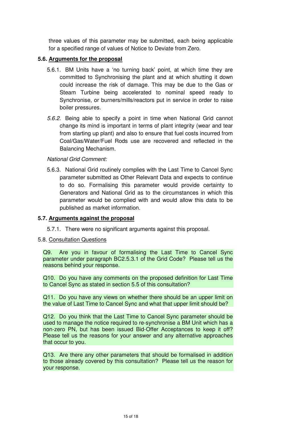three values of this parameter may be submitted, each being applicable for a specified range of values of Notice to Deviate from Zero.

#### **5.6. Arguments for the proposal**

- 5.6.1. BM Units have a 'no turning back' point, at which time they are committed to Synchronising the plant and at which shutting it down could increase the risk of damage. This may be due to the Gas or Steam Turbine being accelerated to nominal speed ready to Synchronise, or burners/mills/reactors put in service in order to raise boiler pressures.
- 5.6.2. Being able to specify a point in time when National Grid cannot change its mind is important in terms of plant integrity (wear and tear from starting up plant) and also to ensure that fuel costs incurred from Coal/Gas/Water/Fuel Rods use are recovered and reflected in the Balancing Mechanism.

#### National Grid Comment:

5.6.3. National Grid routinely complies with the Last Time to Cancel Sync parameter submitted as Other Relevant Data and expects to continue to do so. Formalising this parameter would provide certainty to Generators and National Grid as to the circumstances in which this parameter would be complied with and would allow this data to be published as market information.

#### **5.7. Arguments against the proposal**

5.7.1. There were no significant arguments against this proposal.

#### 5.8. Consultation Questions

Q9. Are you in favour of formalising the Last Time to Cancel Sync parameter under paragraph BC2.5.3.1 of the Grid Code? Please tell us the reasons behind your response.

Q10. Do you have any comments on the proposed definition for Last Time to Cancel Sync as stated in section 5.5 of this consultation?

Q11. Do you have any views on whether there should be an upper limit on the value of Last Time to Cancel Sync and what that upper limit should be?

Q12. Do you think that the Last Time to Cancel Sync parameter should be used to manage the notice required to re-synchronise a BM Unit which has a non-zero PN, but has been issued Bid-Offer Acceptances to keep it off? Please tell us the reasons for your answer and any alternative approaches that occur to you.

Q13. Are there any other parameters that should be formalised in addition to those already covered by this consultation? Please tell us the reason for your response.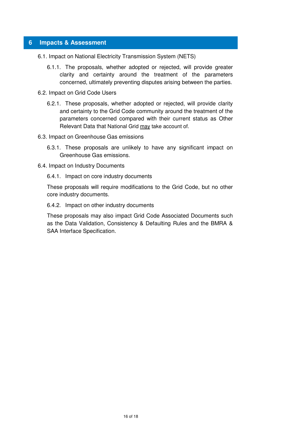#### **6 Impacts & Assessment**

- 6.1. Impact on National Electricity Transmission System (NETS)
	- 6.1.1. The proposals, whether adopted or rejected, will provide greater clarity and certainty around the treatment of the parameters concerned, ultimately preventing disputes arising between the parties.
- 6.2. Impact on Grid Code Users
	- 6.2.1. These proposals, whether adopted or rejected, will provide clarity and certainty to the Grid Code community around the treatment of the parameters concerned compared with their current status as Other Relevant Data that National Grid may take account of.
- 6.3. Impact on Greenhouse Gas emissions
	- 6.3.1. These proposals are unlikely to have any significant impact on Greenhouse Gas emissions.
- 6.4. Impact on Industry Documents
	- 6.4.1. Impact on core industry documents

These proposals will require modifications to the Grid Code, but no other core industry documents.

6.4.2. Impact on other industry documents

These proposals may also impact Grid Code Associated Documents such as the Data Validation, Consistency & Defaulting Rules and the BMRA & SAA Interface Specification.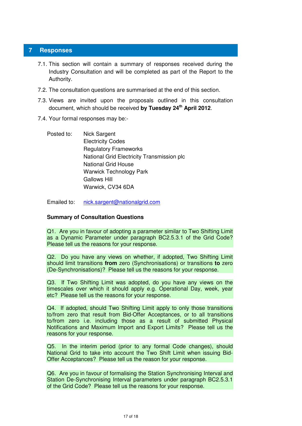#### **7 Responses**

- 7.1. This section will contain a summary of responses received during the Industry Consultation and will be completed as part of the Report to the Authority.
- 7.2. The consultation questions are summarised at the end of this section.
- 7.3. Views are invited upon the proposals outlined in this consultation document, which should be received **by Tuesday 24th April 2012**.
- 7.4. Your formal responses may be:-
	- Posted to: Nick Sargent Electricity Codes Regulatory Frameworks National Grid Electricity Transmission plc National Grid House Warwick Technology Park Gallows Hill Warwick, CV34 6DA

Emailed to: nick.sargent@nationalgrid.com

#### **Summary of Consultation Questions**

Q1. Are you in favour of adopting a parameter similar to Two Shifting Limit as a Dynamic Parameter under paragraph BC2.5.3.1 of the Grid Code? Please tell us the reasons for your response.

Q2. Do you have any views on whether, if adopted, Two Shifting Limit should limit transitions **from** zero (Synchronisations) or transitions **to** zero (De-Synchronisations)? Please tell us the reasons for your response.

Q3. If Two Shifting Limit was adopted, do you have any views on the timescales over which it should apply e.g. Operational Day, week, year etc? Please tell us the reasons for your response.

Q4. If adopted, should Two Shifting Limit apply to only those transitions to/from zero that result from Bid-Offer Acceptances, or to all transitions to/from zero i.e. including those as a result of submitted Physical Notifications and Maximum Import and Export Limits? Please tell us the reasons for your response.

Q5. In the interim period (prior to any formal Code changes), should National Grid to take into account the Two Shift Limit when issuing Bid-Offer Acceptances? Please tell us the reason for your response.

Q6. Are you in favour of formalising the Station Synchronising Interval and Station De-Synchronising Interval parameters under paragraph BC2.5.3.1 of the Grid Code? Please tell us the reasons for your response.